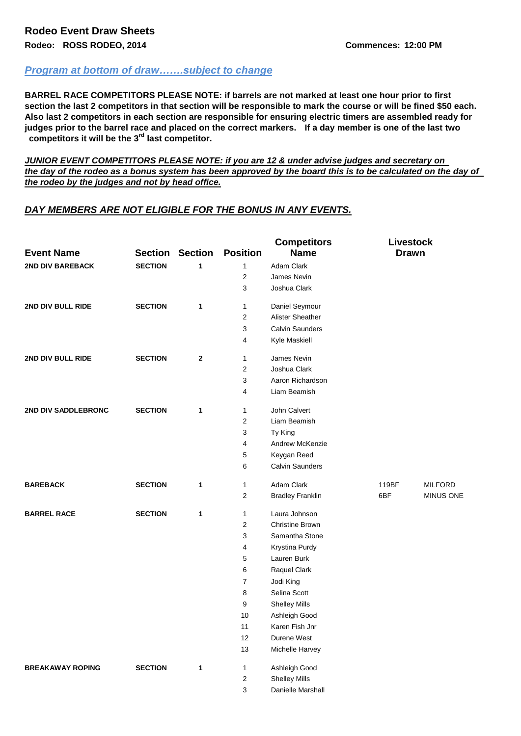## *Program at bottom of draw…….subject to change*

**BARREL RACE COMPETITORS PLEASE NOTE: if barrels are not marked at least one hour prior to first section the last 2 competitors in that section will be responsible to mark the course or will be fined \$50 each. Also last 2 competitors in each section are responsible for ensuring electric timers are assembled ready for judges prior to the barrel race and placed on the correct markers. If a day member is one of the last two competitors it will be the 3rd last competitor.**

*JUNIOR EVENT COMPETITORS PLEASE NOTE: if you are 12 & under advise judges and secretary on the day of the rodeo as a bonus system has been approved by the board this is to be calculated on the day of the rodeo by the judges and not by head office.*

## *DAY MEMBERS ARE NOT ELIGIBLE FOR THE BONUS IN ANY EVENTS.*

| <b>Event Name</b>       |                                | <b>Section Section</b> | <b>Position</b>         | <b>Competitors</b><br><b>Livestock</b><br><b>Name</b><br><b>Drawn</b> |       |                  |
|-------------------------|--------------------------------|------------------------|-------------------------|-----------------------------------------------------------------------|-------|------------------|
| <b>2ND DIV BAREBACK</b> | <b>SECTION</b>                 | 1                      | $\mathbf{1}$            | <b>Adam Clark</b>                                                     |       |                  |
|                         |                                |                        | $\overline{2}$          | James Nevin                                                           |       |                  |
|                         |                                |                        | 3                       | Joshua Clark                                                          |       |                  |
| 2ND DIV BULL RIDE       | <b>SECTION</b><br>$\mathbf{1}$ |                        | $\mathbf{1}$            | Daniel Seymour                                                        |       |                  |
|                         |                                |                        | $\mathbf{2}$            | Alister Sheather                                                      |       |                  |
|                         |                                |                        | 3                       | <b>Calvin Saunders</b>                                                |       |                  |
|                         |                                |                        | 4                       | Kyle Maskiell                                                         |       |                  |
| 2ND DIV BULL RIDE       | <b>SECTION</b>                 | $\mathbf{2}$           | $\mathbf{1}$            | James Nevin                                                           |       |                  |
|                         |                                |                        | $\overline{2}$          | Joshua Clark                                                          |       |                  |
|                         |                                |                        | 3                       | Aaron Richardson                                                      |       |                  |
|                         |                                |                        | $\overline{4}$          | Liam Beamish                                                          |       |                  |
| 2ND DIV SADDLEBRONC     | <b>SECTION</b>                 | 1                      | $\mathbf{1}$            | John Calvert                                                          |       |                  |
|                         |                                |                        | 2                       | Liam Beamish                                                          |       |                  |
|                         |                                |                        | 3                       | Ty King                                                               |       |                  |
|                         |                                |                        | 4                       | Andrew McKenzie                                                       |       |                  |
|                         |                                |                        | 5                       | Keygan Reed                                                           |       |                  |
|                         |                                |                        | 6                       | <b>Calvin Saunders</b>                                                |       |                  |
| <b>BAREBACK</b>         | <b>SECTION</b>                 | $\mathbf{1}$           | $\mathbf{1}$            | Adam Clark                                                            | 119BF | <b>MILFORD</b>   |
|                         |                                |                        | $\overline{2}$          | <b>Bradley Franklin</b>                                               | 6BF   | <b>MINUS ONE</b> |
| <b>BARREL RACE</b>      | <b>SECTION</b>                 | $\mathbf{1}$           | $\mathbf{1}$            | Laura Johnson                                                         |       |                  |
|                         |                                |                        | $\overline{2}$          | <b>Christine Brown</b>                                                |       |                  |
|                         |                                |                        | 3                       | Samantha Stone                                                        |       |                  |
|                         |                                |                        | $\overline{\mathbf{4}}$ | Krystina Purdy                                                        |       |                  |
|                         |                                |                        | 5                       | Lauren Burk                                                           |       |                  |
|                         |                                |                        | 6                       | Raquel Clark                                                          |       |                  |
|                         |                                |                        | $\boldsymbol{7}$        | Jodi King                                                             |       |                  |
|                         |                                |                        | 8                       | Selina Scott                                                          |       |                  |
|                         |                                |                        | 9                       | <b>Shelley Mills</b>                                                  |       |                  |
|                         |                                |                        | 10                      | Ashleigh Good                                                         |       |                  |
|                         |                                |                        | 11                      | Karen Fish Jnr                                                        |       |                  |
|                         |                                |                        | 12                      | Durene West                                                           |       |                  |
|                         |                                |                        | 13                      | Michelle Harvey                                                       |       |                  |
| <b>BREAKAWAY ROPING</b> | <b>SECTION</b>                 | 1                      | $\mathbf{1}$            | Ashleigh Good                                                         |       |                  |
|                         |                                |                        | $\overline{2}$          | <b>Shelley Mills</b>                                                  |       |                  |
|                         |                                |                        | 3                       | Danielle Marshall                                                     |       |                  |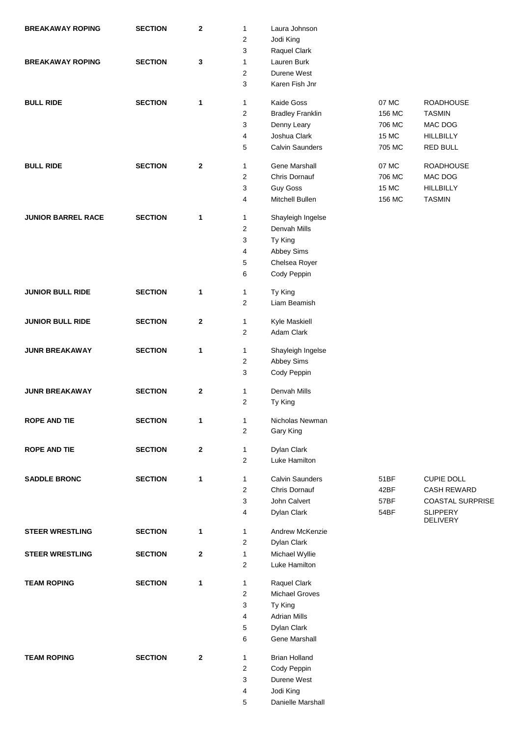| <b>BREAKAWAY ROPING</b>   | <b>SECTION</b> | $\bf 2$      | 1              | Laura Johnson                |        |                                    |
|---------------------------|----------------|--------------|----------------|------------------------------|--------|------------------------------------|
|                           |                |              | 2              | Jodi King                    |        |                                    |
|                           |                |              | 3              | Raquel Clark                 |        |                                    |
| <b>BREAKAWAY ROPING</b>   | <b>SECTION</b> | $\mathbf 3$  | 1              | Lauren Burk                  |        |                                    |
|                           |                |              | 2              | Durene West                  |        |                                    |
|                           |                |              | 3              | Karen Fish Jnr               |        |                                    |
| <b>BULL RIDE</b>          | <b>SECTION</b> | $\mathbf{1}$ | 1              | Kaide Goss                   | 07 MC  | <b>ROADHOUSE</b>                   |
|                           |                |              | 2              | <b>Bradley Franklin</b>      | 156 MC | <b>TASMIN</b>                      |
|                           |                |              | 3              | Denny Leary                  | 706 MC | MAC DOG                            |
|                           |                |              | 4              | Joshua Clark                 | 15 MC  | <b>HILLBILLY</b>                   |
|                           |                |              | 5              | <b>Calvin Saunders</b>       | 705 MC | <b>RED BULL</b>                    |
| <b>BULL RIDE</b>          | <b>SECTION</b> | $\mathbf{2}$ | 1              | Gene Marshall                | 07 MC  | <b>ROADHOUSE</b>                   |
|                           |                |              | $\mathbf{2}$   | Chris Dornauf                | 706 MC | MAC DOG                            |
|                           |                |              | 3              | <b>Guy Goss</b>              | 15 MC  | <b>HILLBILLY</b>                   |
|                           |                |              | 4              | Mitchell Bullen              | 156 MC | <b>TASMIN</b>                      |
| <b>JUNIOR BARREL RACE</b> | <b>SECTION</b> | 1            | 1              | Shayleigh Ingelse            |        |                                    |
|                           |                |              | $\overline{c}$ | Denvah Mills                 |        |                                    |
|                           |                |              | 3              |                              |        |                                    |
|                           |                |              |                | Ty King                      |        |                                    |
|                           |                |              | 4              | Abbey Sims                   |        |                                    |
|                           |                |              | 5<br>6         | Chelsea Royer                |        |                                    |
|                           |                |              |                | Cody Peppin                  |        |                                    |
| <b>JUNIOR BULL RIDE</b>   | <b>SECTION</b> | $\mathbf{1}$ | 1              | Ty King                      |        |                                    |
|                           |                |              | $\overline{2}$ | Liam Beamish                 |        |                                    |
| <b>JUNIOR BULL RIDE</b>   | <b>SECTION</b> | $\bf{2}$     | 1              | Kyle Maskiell                |        |                                    |
|                           |                |              | $\overline{2}$ | Adam Clark                   |        |                                    |
| <b>JUNR BREAKAWAY</b>     | <b>SECTION</b> | 1            | 1              | Shayleigh Ingelse            |        |                                    |
|                           |                |              | $\overline{c}$ | Abbey Sims                   |        |                                    |
|                           |                |              | 3              | Cody Peppin                  |        |                                    |
| <b>JUNR BREAKAWAY</b>     | <b>SECTION</b> | $\bf{2}$     | 1              | Denvah Mills                 |        |                                    |
|                           |                |              | 2              | Ty King                      |        |                                    |
|                           |                |              |                |                              |        |                                    |
| <b>ROPE AND TIE</b>       | <b>SECTION</b> | 1            | 1<br>2         | Nicholas Newman<br>Gary King |        |                                    |
|                           |                |              |                |                              |        |                                    |
| <b>ROPE AND TIE</b>       | <b>SECTION</b> | $\bf{2}$     | 1              | Dylan Clark                  |        |                                    |
|                           |                |              | $\overline{2}$ | Luke Hamilton                |        |                                    |
| <b>SADDLE BRONC</b>       | <b>SECTION</b> | 1            | 1              | <b>Calvin Saunders</b>       | 51BF   | <b>CUPIE DOLL</b>                  |
|                           |                |              | $\overline{2}$ | Chris Dornauf                | 42BF   | <b>CASH REWARD</b>                 |
|                           |                |              | 3              | John Calvert                 | 57BF   | <b>COASTAL SURPRISE</b>            |
|                           |                |              | 4              | Dylan Clark                  | 54BF   | <b>SLIPPERY</b><br><b>DELIVERY</b> |
| <b>STEER WRESTLING</b>    | <b>SECTION</b> | 1            | 1              | Andrew McKenzie              |        |                                    |
|                           |                |              | $\overline{c}$ | Dylan Clark                  |        |                                    |
| <b>STEER WRESTLING</b>    | <b>SECTION</b> | $\bf{2}$     | 1              | Michael Wyllie               |        |                                    |
|                           |                |              | 2              | Luke Hamilton                |        |                                    |
| <b>TEAM ROPING</b>        | <b>SECTION</b> | 1            | 1              | Raquel Clark                 |        |                                    |
|                           |                |              | $\overline{2}$ | <b>Michael Groves</b>        |        |                                    |
|                           |                |              | 3              | Ty King                      |        |                                    |
|                           |                |              | 4              | <b>Adrian Mills</b>          |        |                                    |
|                           |                |              | 5              | Dylan Clark                  |        |                                    |
|                           |                |              | 6              | Gene Marshall                |        |                                    |
| <b>TEAM ROPING</b>        | <b>SECTION</b> | $\bf{2}$     | 1              | <b>Brian Holland</b>         |        |                                    |
|                           |                |              | $\overline{2}$ | Cody Peppin                  |        |                                    |
|                           |                |              | 3              | Durene West                  |        |                                    |
|                           |                |              | 4              | Jodi King                    |        |                                    |
|                           |                |              | 5              | Danielle Marshall            |        |                                    |
|                           |                |              |                |                              |        |                                    |